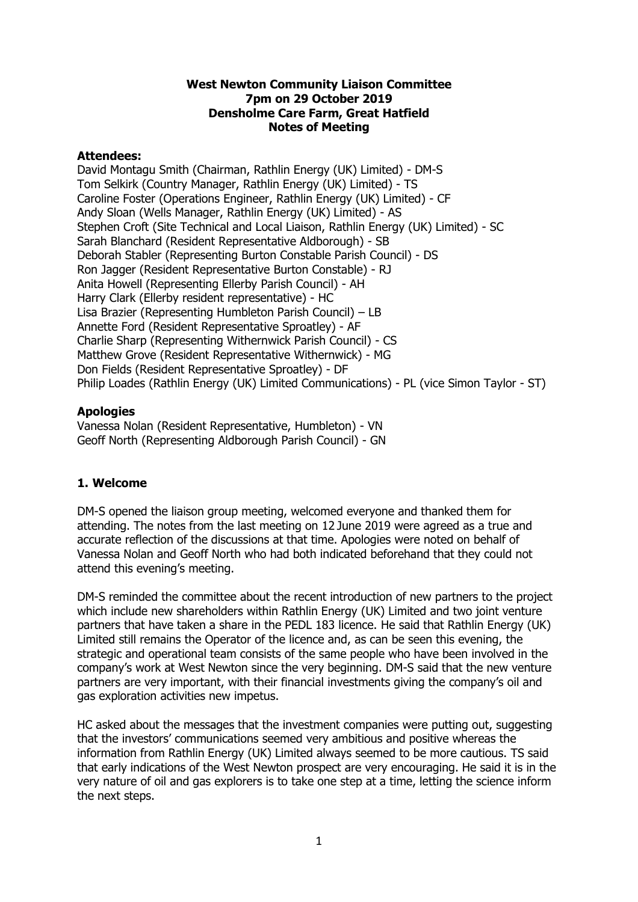#### **West Newton Community Liaison Committee 7pm on 29 October 2019 Densholme Care Farm, Great Hatfield Notes of Meeting**

#### **Attendees:**

David Montagu Smith (Chairman, Rathlin Energy (UK) Limited) - DM-S Tom Selkirk (Country Manager, Rathlin Energy (UK) Limited) - TS Caroline Foster (Operations Engineer, Rathlin Energy (UK) Limited) - CF Andy Sloan (Wells Manager, Rathlin Energy (UK) Limited) - AS Stephen Croft (Site Technical and Local Liaison, Rathlin Energy (UK) Limited) - SC Sarah Blanchard (Resident Representative Aldborough) - SB Deborah Stabler (Representing Burton Constable Parish Council) - DS Ron Jagger (Resident Representative Burton Constable) - RJ Anita Howell (Representing Ellerby Parish Council) - AH Harry Clark (Ellerby resident representative) - HC Lisa Brazier (Representing Humbleton Parish Council) – LB Annette Ford (Resident Representative Sproatley) - AF Charlie Sharp (Representing Withernwick Parish Council) - CS Matthew Grove (Resident Representative Withernwick) - MG Don Fields (Resident Representative Sproatley) - DF Philip Loades (Rathlin Energy (UK) Limited Communications) - PL (vice Simon Taylor - ST)

# **Apologies**

Vanessa Nolan (Resident Representative, Humbleton) - VN Geoff North (Representing Aldborough Parish Council) - GN

# **1. Welcome**

DM-S opened the liaison group meeting, welcomed everyone and thanked them for attending. The notes from the last meeting on 12 June 2019 were agreed as a true and accurate reflection of the discussions at that time. Apologies were noted on behalf of Vanessa Nolan and Geoff North who had both indicated beforehand that they could not attend this evening's meeting.

DM-S reminded the committee about the recent introduction of new partners to the project which include new shareholders within Rathlin Energy (UK) Limited and two joint venture partners that have taken a share in the PEDL 183 licence. He said that Rathlin Energy (UK) Limited still remains the Operator of the licence and, as can be seen this evening, the strategic and operational team consists of the same people who have been involved in the company's work at West Newton since the very beginning. DM-S said that the new venture partners are very important, with their financial investments giving the company's oil and gas exploration activities new impetus.

HC asked about the messages that the investment companies were putting out, suggesting that the investors' communications seemed very ambitious and positive whereas the information from Rathlin Energy (UK) Limited always seemed to be more cautious. TS said that early indications of the West Newton prospect are very encouraging. He said it is in the very nature of oil and gas explorers is to take one step at a time, letting the science inform the next steps.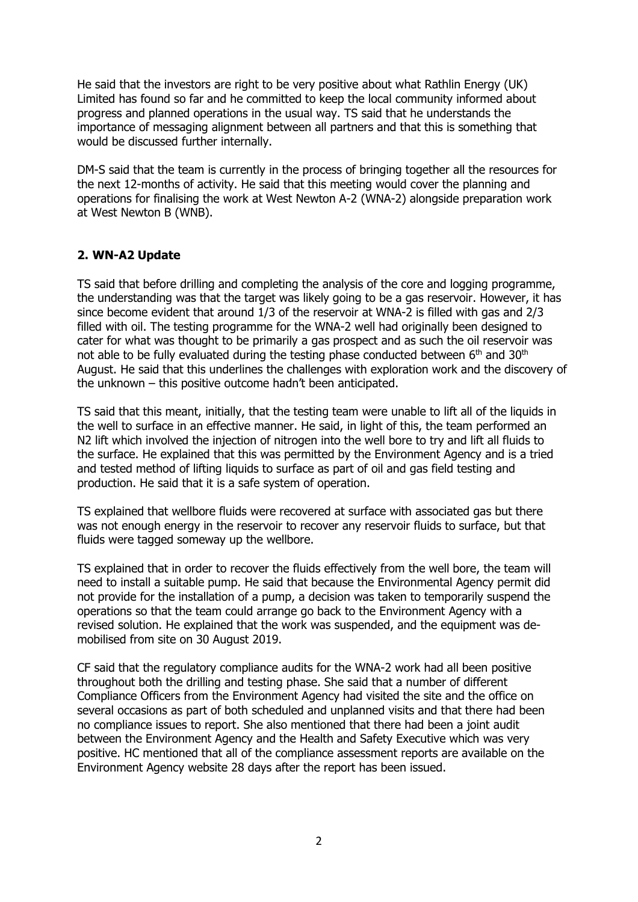He said that the investors are right to be very positive about what Rathlin Energy (UK) Limited has found so far and he committed to keep the local community informed about progress and planned operations in the usual way. TS said that he understands the importance of messaging alignment between all partners and that this is something that would be discussed further internally.

DM-S said that the team is currently in the process of bringing together all the resources for the next 12-months of activity. He said that this meeting would cover the planning and operations for finalising the work at West Newton A-2 (WNA-2) alongside preparation work at West Newton B (WNB).

#### **2. WN-A2 Update**

TS said that before drilling and completing the analysis of the core and logging programme, the understanding was that the target was likely going to be a gas reservoir. However, it has since become evident that around 1/3 of the reservoir at WNA-2 is filled with gas and 2/3 filled with oil. The testing programme for the WNA-2 well had originally been designed to cater for what was thought to be primarily a gas prospect and as such the oil reservoir was not able to be fully evaluated during the testing phase conducted between 6<sup>th</sup> and 30<sup>th</sup> August. He said that this underlines the challenges with exploration work and the discovery of the unknown – this positive outcome hadn't been anticipated.

TS said that this meant, initially, that the testing team were unable to lift all of the liquids in the well to surface in an effective manner. He said, in light of this, the team performed an N2 lift which involved the injection of nitrogen into the well bore to try and lift all fluids to the surface. He explained that this was permitted by the Environment Agency and is a tried and tested method of lifting liquids to surface as part of oil and gas field testing and production. He said that it is a safe system of operation.

TS explained that wellbore fluids were recovered at surface with associated gas but there was not enough energy in the reservoir to recover any reservoir fluids to surface, but that fluids were tagged someway up the wellbore.

TS explained that in order to recover the fluids effectively from the well bore, the team will need to install a suitable pump. He said that because the Environmental Agency permit did not provide for the installation of a pump, a decision was taken to temporarily suspend the operations so that the team could arrange go back to the Environment Agency with a revised solution. He explained that the work was suspended, and the equipment was demobilised from site on 30 August 2019.

CF said that the regulatory compliance audits for the WNA-2 work had all been positive throughout both the drilling and testing phase. She said that a number of different Compliance Officers from the Environment Agency had visited the site and the office on several occasions as part of both scheduled and unplanned visits and that there had been no compliance issues to report. She also mentioned that there had been a joint audit between the Environment Agency and the Health and Safety Executive which was very positive. HC mentioned that all of the compliance assessment reports are available on the Environment Agency website 28 days after the report has been issued.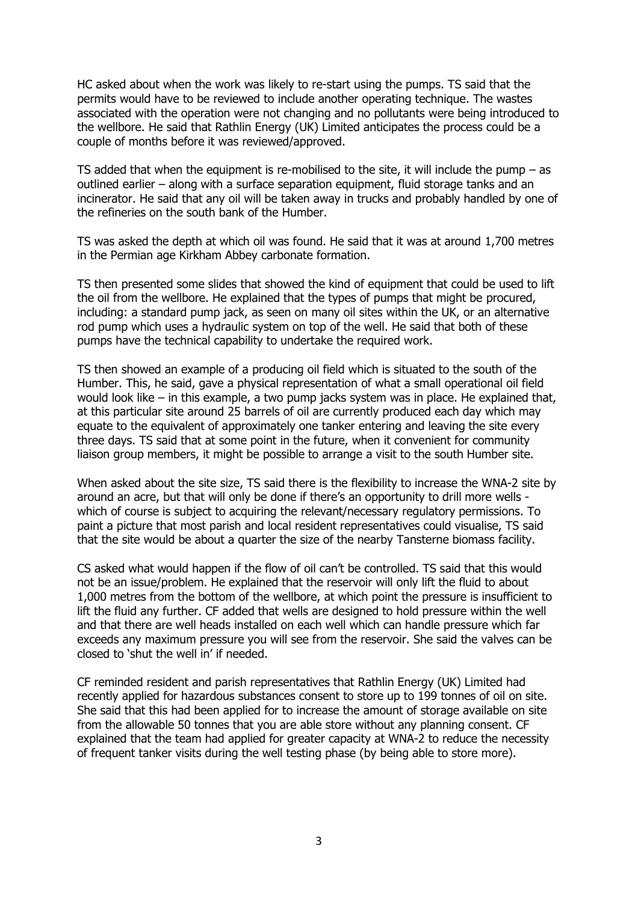HC asked about when the work was likely to re-start using the pumps. TS said that the permits would have to be reviewed to include another operating technique. The wastes associated with the operation were not changing and no pollutants were being introduced to the wellbore. He said that Rathlin Energy (UK) Limited anticipates the process could be a couple of months before it was reviewed/approved.

TS added that when the equipment is re-mobilised to the site, it will include the pump  $-$  as outlined earlier – along with a surface separation equipment, fluid storage tanks and an incinerator. He said that any oil will be taken away in trucks and probably handled by one of the refineries on the south bank of the Humber.

TS was asked the depth at which oil was found. He said that it was at around 1,700 metres in the Permian age Kirkham Abbey carbonate formation.

TS then presented some slides that showed the kind of equipment that could be used to lift the oil from the wellbore. He explained that the types of pumps that might be procured, including: a standard pump jack, as seen on many oil sites within the UK, or an alternative rod pump which uses a hydraulic system on top of the well. He said that both of these pumps have the technical capability to undertake the required work.

TS then showed an example of a producing oil field which is situated to the south of the Humber. This, he said, gave a physical representation of what a small operational oil field would look like – in this example, a two pump jacks system was in place. He explained that, at this particular site around 25 barrels of oil are currently produced each day which may equate to the equivalent of approximately one tanker entering and leaving the site every three days. TS said that at some point in the future, when it convenient for community liaison group members, it might be possible to arrange a visit to the south Humber site.

When asked about the site size, TS said there is the flexibility to increase the WNA-2 site by around an acre, but that will only be done if there's an opportunity to drill more wells which of course is subject to acquiring the relevant/necessary regulatory permissions. To paint a picture that most parish and local resident representatives could visualise, TS said that the site would be about a quarter the size of the nearby Tansterne biomass facility.

CS asked what would happen if the flow of oil can't be controlled. TS said that this would not be an issue/problem. He explained that the reservoir will only lift the fluid to about 1,000 metres from the bottom of the wellbore, at which point the pressure is insufficient to lift the fluid any further. CF added that wells are designed to hold pressure within the well and that there are well heads installed on each well which can handle pressure which far exceeds any maximum pressure you will see from the reservoir. She said the valves can be closed to 'shut the well in' if needed.

CF reminded resident and parish representatives that Rathlin Energy (UK) Limited had recently applied for hazardous substances consent to store up to 199 tonnes of oil on site. She said that this had been applied for to increase the amount of storage available on site from the allowable 50 tonnes that you are able store without any planning consent. CF explained that the team had applied for greater capacity at WNA-2 to reduce the necessity of frequent tanker visits during the well testing phase (by being able to store more).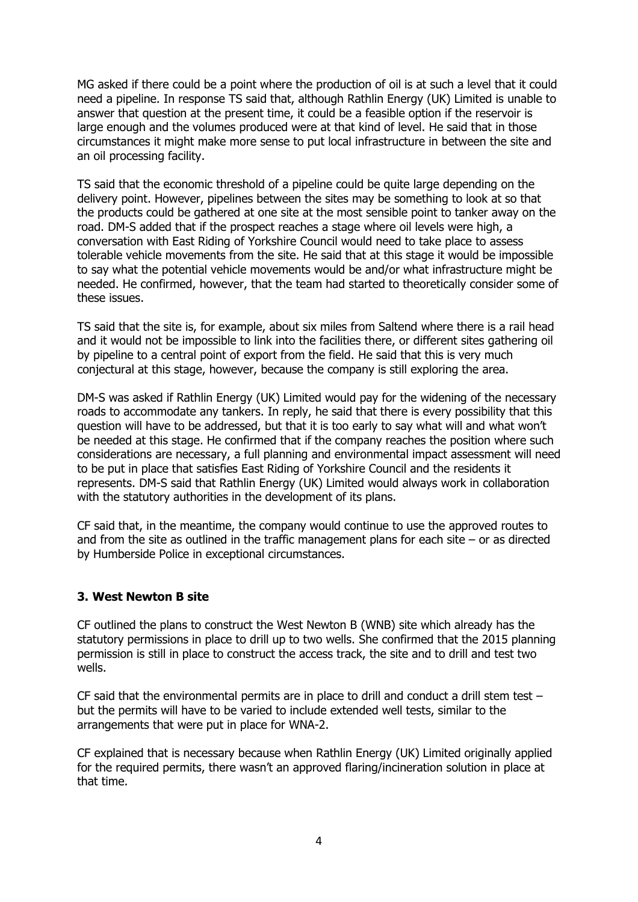MG asked if there could be a point where the production of oil is at such a level that it could need a pipeline. In response TS said that, although Rathlin Energy (UK) Limited is unable to answer that question at the present time, it could be a feasible option if the reservoir is large enough and the volumes produced were at that kind of level. He said that in those circumstances it might make more sense to put local infrastructure in between the site and an oil processing facility.

TS said that the economic threshold of a pipeline could be quite large depending on the delivery point. However, pipelines between the sites may be something to look at so that the products could be gathered at one site at the most sensible point to tanker away on the road. DM-S added that if the prospect reaches a stage where oil levels were high, a conversation with East Riding of Yorkshire Council would need to take place to assess tolerable vehicle movements from the site. He said that at this stage it would be impossible to say what the potential vehicle movements would be and/or what infrastructure might be needed. He confirmed, however, that the team had started to theoretically consider some of these issues.

TS said that the site is, for example, about six miles from Saltend where there is a rail head and it would not be impossible to link into the facilities there, or different sites gathering oil by pipeline to a central point of export from the field. He said that this is very much conjectural at this stage, however, because the company is still exploring the area.

DM-S was asked if Rathlin Energy (UK) Limited would pay for the widening of the necessary roads to accommodate any tankers. In reply, he said that there is every possibility that this question will have to be addressed, but that it is too early to say what will and what won't be needed at this stage. He confirmed that if the company reaches the position where such considerations are necessary, a full planning and environmental impact assessment will need to be put in place that satisfies East Riding of Yorkshire Council and the residents it represents. DM-S said that Rathlin Energy (UK) Limited would always work in collaboration with the statutory authorities in the development of its plans.

CF said that, in the meantime, the company would continue to use the approved routes to and from the site as outlined in the traffic management plans for each site  $-$  or as directed by Humberside Police in exceptional circumstances.

# **3. West Newton B site**

CF outlined the plans to construct the West Newton B (WNB) site which already has the statutory permissions in place to drill up to two wells. She confirmed that the 2015 planning permission is still in place to construct the access track, the site and to drill and test two wells.

CF said that the environmental permits are in place to drill and conduct a drill stem test – but the permits will have to be varied to include extended well tests, similar to the arrangements that were put in place for WNA-2.

CF explained that is necessary because when Rathlin Energy (UK) Limited originally applied for the required permits, there wasn't an approved flaring/incineration solution in place at that time.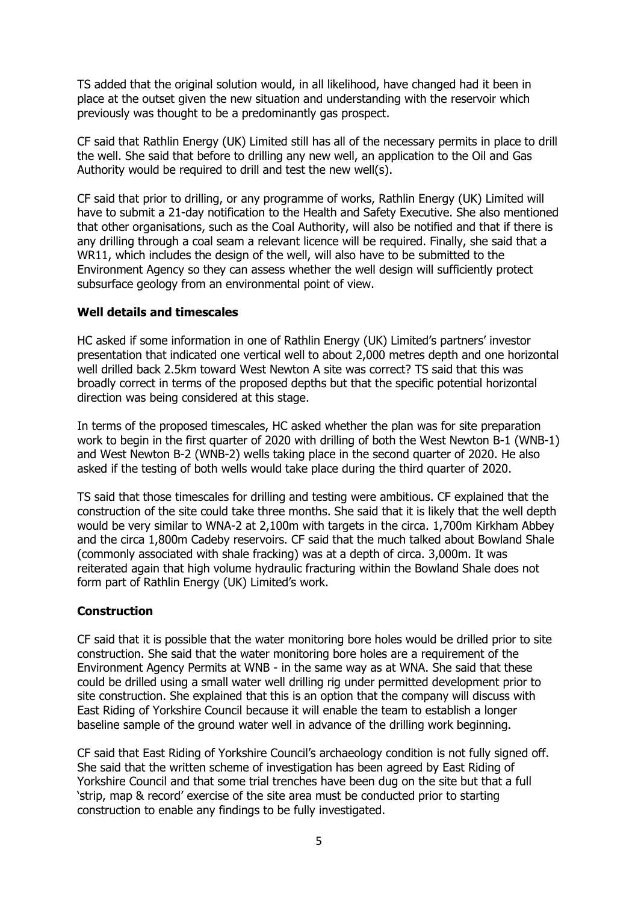TS added that the original solution would, in all likelihood, have changed had it been in place at the outset given the new situation and understanding with the reservoir which previously was thought to be a predominantly gas prospect.

CF said that Rathlin Energy (UK) Limited still has all of the necessary permits in place to drill the well. She said that before to drilling any new well, an application to the Oil and Gas Authority would be required to drill and test the new well(s).

CF said that prior to drilling, or any programme of works, Rathlin Energy (UK) Limited will have to submit a 21-day notification to the Health and Safety Executive. She also mentioned that other organisations, such as the Coal Authority, will also be notified and that if there is any drilling through a coal seam a relevant licence will be required. Finally, she said that a WR11, which includes the design of the well, will also have to be submitted to the Environment Agency so they can assess whether the well design will sufficiently protect subsurface geology from an environmental point of view.

#### **Well details and timescales**

HC asked if some information in one of Rathlin Energy (UK) Limited's partners' investor presentation that indicated one vertical well to about 2,000 metres depth and one horizontal well drilled back 2.5km toward West Newton A site was correct? TS said that this was broadly correct in terms of the proposed depths but that the specific potential horizontal direction was being considered at this stage.

In terms of the proposed timescales, HC asked whether the plan was for site preparation work to begin in the first quarter of 2020 with drilling of both the West Newton B-1 (WNB-1) and West Newton B-2 (WNB-2) wells taking place in the second quarter of 2020. He also asked if the testing of both wells would take place during the third quarter of 2020.

TS said that those timescales for drilling and testing were ambitious. CF explained that the construction of the site could take three months. She said that it is likely that the well depth would be very similar to WNA-2 at 2,100m with targets in the circa. 1,700m Kirkham Abbey and the circa 1,800m Cadeby reservoirs. CF said that the much talked about Bowland Shale (commonly associated with shale fracking) was at a depth of circa. 3,000m. It was reiterated again that high volume hydraulic fracturing within the Bowland Shale does not form part of Rathlin Energy (UK) Limited's work.

# **Construction**

CF said that it is possible that the water monitoring bore holes would be drilled prior to site construction. She said that the water monitoring bore holes are a requirement of the Environment Agency Permits at WNB - in the same way as at WNA. She said that these could be drilled using a small water well drilling rig under permitted development prior to site construction. She explained that this is an option that the company will discuss with East Riding of Yorkshire Council because it will enable the team to establish a longer baseline sample of the ground water well in advance of the drilling work beginning.

CF said that East Riding of Yorkshire Council's archaeology condition is not fully signed off. She said that the written scheme of investigation has been agreed by East Riding of Yorkshire Council and that some trial trenches have been dug on the site but that a full 'strip, map & record' exercise of the site area must be conducted prior to starting construction to enable any findings to be fully investigated.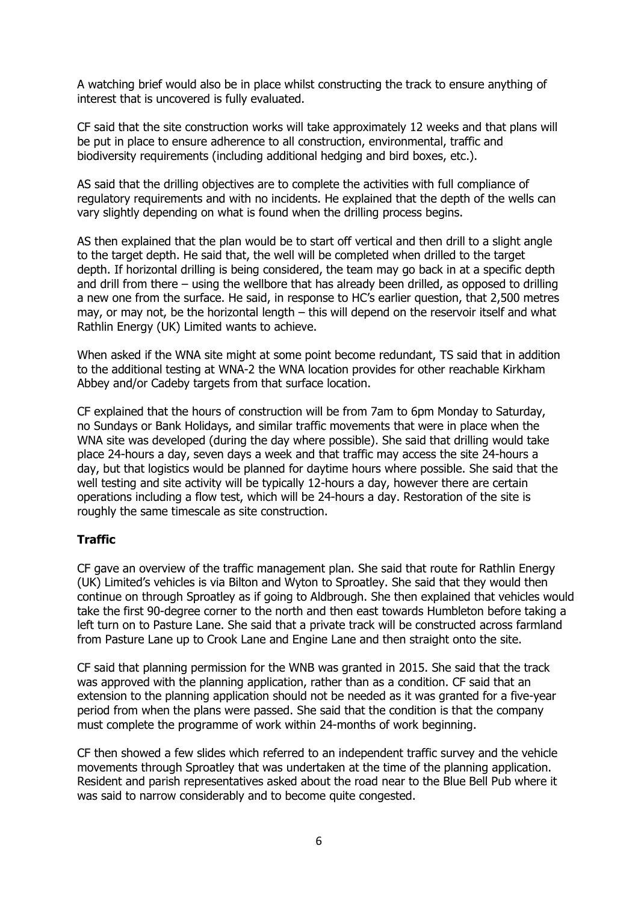A watching brief would also be in place whilst constructing the track to ensure anything of interest that is uncovered is fully evaluated.

CF said that the site construction works will take approximately 12 weeks and that plans will be put in place to ensure adherence to all construction, environmental, traffic and biodiversity requirements (including additional hedging and bird boxes, etc.).

AS said that the drilling objectives are to complete the activities with full compliance of regulatory requirements and with no incidents. He explained that the depth of the wells can vary slightly depending on what is found when the drilling process begins.

AS then explained that the plan would be to start off vertical and then drill to a slight angle to the target depth. He said that, the well will be completed when drilled to the target depth. If horizontal drilling is being considered, the team may go back in at a specific depth and drill from there – using the wellbore that has already been drilled, as opposed to drilling a new one from the surface. He said, in response to HC's earlier question, that 2,500 metres may, or may not, be the horizontal length – this will depend on the reservoir itself and what Rathlin Energy (UK) Limited wants to achieve.

When asked if the WNA site might at some point become redundant, TS said that in addition to the additional testing at WNA-2 the WNA location provides for other reachable Kirkham Abbey and/or Cadeby targets from that surface location.

CF explained that the hours of construction will be from 7am to 6pm Monday to Saturday, no Sundays or Bank Holidays, and similar traffic movements that were in place when the WNA site was developed (during the day where possible). She said that drilling would take place 24-hours a day, seven days a week and that traffic may access the site 24-hours a day, but that logistics would be planned for daytime hours where possible. She said that the well testing and site activity will be typically 12-hours a day, however there are certain operations including a flow test, which will be 24-hours a day. Restoration of the site is roughly the same timescale as site construction.

# **Traffic**

CF gave an overview of the traffic management plan. She said that route for Rathlin Energy (UK) Limited's vehicles is via Bilton and Wyton to Sproatley. She said that they would then continue on through Sproatley as if going to Aldbrough. She then explained that vehicles would take the first 90-degree corner to the north and then east towards Humbleton before taking a left turn on to Pasture Lane. She said that a private track will be constructed across farmland from Pasture Lane up to Crook Lane and Engine Lane and then straight onto the site.

CF said that planning permission for the WNB was granted in 2015. She said that the track was approved with the planning application, rather than as a condition. CF said that an extension to the planning application should not be needed as it was granted for a five-year period from when the plans were passed. She said that the condition is that the company must complete the programme of work within 24-months of work beginning.

CF then showed a few slides which referred to an independent traffic survey and the vehicle movements through Sproatley that was undertaken at the time of the planning application. Resident and parish representatives asked about the road near to the Blue Bell Pub where it was said to narrow considerably and to become quite congested.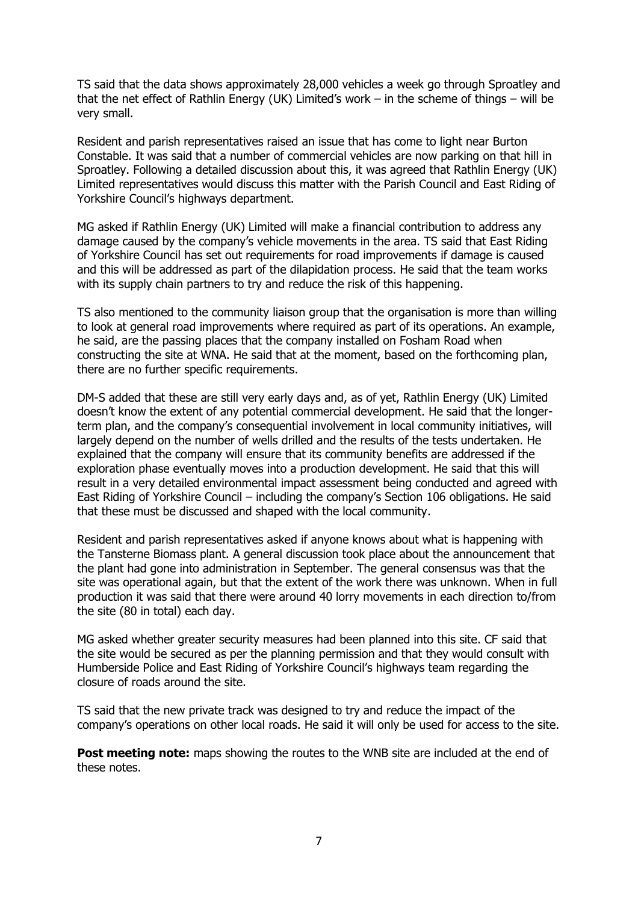TS said that the data shows approximately 28,000 vehicles a week go through Sproatley and that the net effect of Rathlin Energy (UK) Limited's work – in the scheme of things – will be very small.

Resident and parish representatives raised an issue that has come to light near Burton Constable. It was said that a number of commercial vehicles are now parking on that hill in Sproatley. Following a detailed discussion about this, it was agreed that Rathlin Energy (UK) Limited representatives would discuss this matter with the Parish Council and East Riding of Yorkshire Council's highways department.

MG asked if Rathlin Energy (UK) Limited will make a financial contribution to address any damage caused by the company's vehicle movements in the area. TS said that East Riding of Yorkshire Council has set out requirements for road improvements if damage is caused and this will be addressed as part of the dilapidation process. He said that the team works with its supply chain partners to try and reduce the risk of this happening.

TS also mentioned to the community liaison group that the organisation is more than willing to look at general road improvements where required as part of its operations. An example, he said, are the passing places that the company installed on Fosham Road when constructing the site at WNA. He said that at the moment, based on the forthcoming plan, there are no further specific requirements.

DM-S added that these are still very early days and, as of yet, Rathlin Energy (UK) Limited doesn't know the extent of any potential commercial development. He said that the longerterm plan, and the company's consequential involvement in local community initiatives, will largely depend on the number of wells drilled and the results of the tests undertaken. He explained that the company will ensure that its community benefits are addressed if the exploration phase eventually moves into a production development. He said that this will result in a very detailed environmental impact assessment being conducted and agreed with East Riding of Yorkshire Council – including the company's Section 106 obligations. He said that these must be discussed and shaped with the local community.

Resident and parish representatives asked if anyone knows about what is happening with the Tansterne Biomass plant. A general discussion took place about the announcement that the plant had gone into administration in September. The general consensus was that the site was operational again, but that the extent of the work there was unknown. When in full production it was said that there were around 40 lorry movements in each direction to/from the site (80 in total) each day.

MG asked whether greater security measures had been planned into this site. CF said that the site would be secured as per the planning permission and that they would consult with Humberside Police and East Riding of Yorkshire Council's highways team regarding the closure of roads around the site.

TS said that the new private track was designed to try and reduce the impact of the company's operations on other local roads. He said it will only be used for access to the site.

**Post meeting note:** maps showing the routes to the WNB site are included at the end of these notes.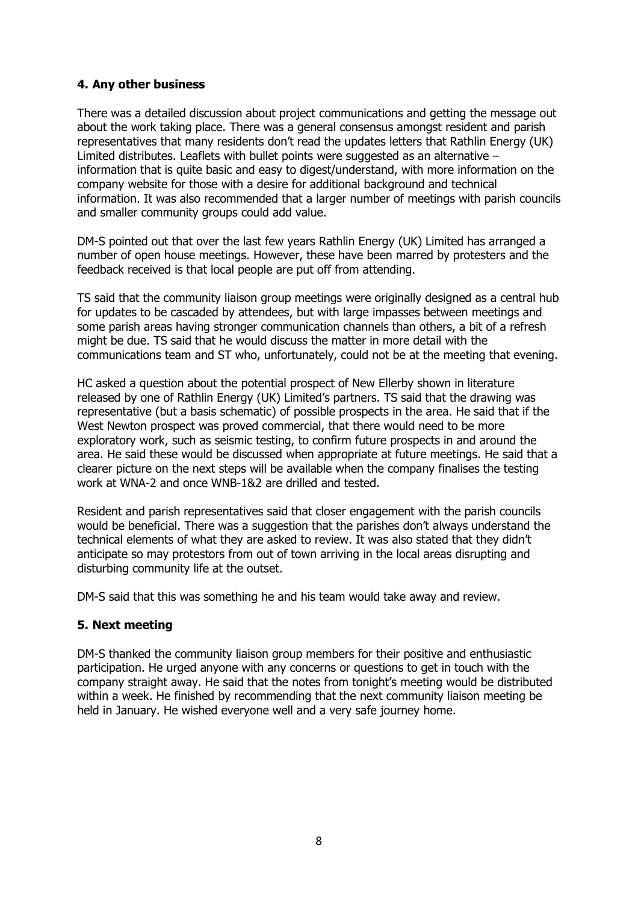# **4. Any other business**

There was a detailed discussion about project communications and getting the message out about the work taking place. There was a general consensus amongst resident and parish representatives that many residents don't read the updates letters that Rathlin Energy (UK) Limited distributes. Leaflets with bullet points were suggested as an alternative – information that is quite basic and easy to digest/understand, with more information on the company website for those with a desire for additional background and technical information. It was also recommended that a larger number of meetings with parish councils and smaller community groups could add value.

DM-S pointed out that over the last few years Rathlin Energy (UK) Limited has arranged a number of open house meetings. However, these have been marred by protesters and the feedback received is that local people are put off from attending.

TS said that the community liaison group meetings were originally designed as a central hub for updates to be cascaded by attendees, but with large impasses between meetings and some parish areas having stronger communication channels than others, a bit of a refresh might be due. TS said that he would discuss the matter in more detail with the communications team and ST who, unfortunately, could not be at the meeting that evening.

HC asked a question about the potential prospect of New Ellerby shown in literature released by one of Rathlin Energy (UK) Limited's partners. TS said that the drawing was representative (but a basis schematic) of possible prospects in the area. He said that if the West Newton prospect was proved commercial, that there would need to be more exploratory work, such as seismic testing, to confirm future prospects in and around the area. He said these would be discussed when appropriate at future meetings. He said that a clearer picture on the next steps will be available when the company finalises the testing work at WNA-2 and once WNB-1&2 are drilled and tested.

Resident and parish representatives said that closer engagement with the parish councils would be beneficial. There was a suggestion that the parishes don't always understand the technical elements of what they are asked to review. It was also stated that they didn't anticipate so may protestors from out of town arriving in the local areas disrupting and disturbing community life at the outset.

DM-S said that this was something he and his team would take away and review.

# **5. Next meeting**

DM-S thanked the community liaison group members for their positive and enthusiastic participation. He urged anyone with any concerns or questions to get in touch with the company straight away. He said that the notes from tonight's meeting would be distributed within a week. He finished by recommending that the next community liaison meeting be held in January. He wished everyone well and a very safe journey home.